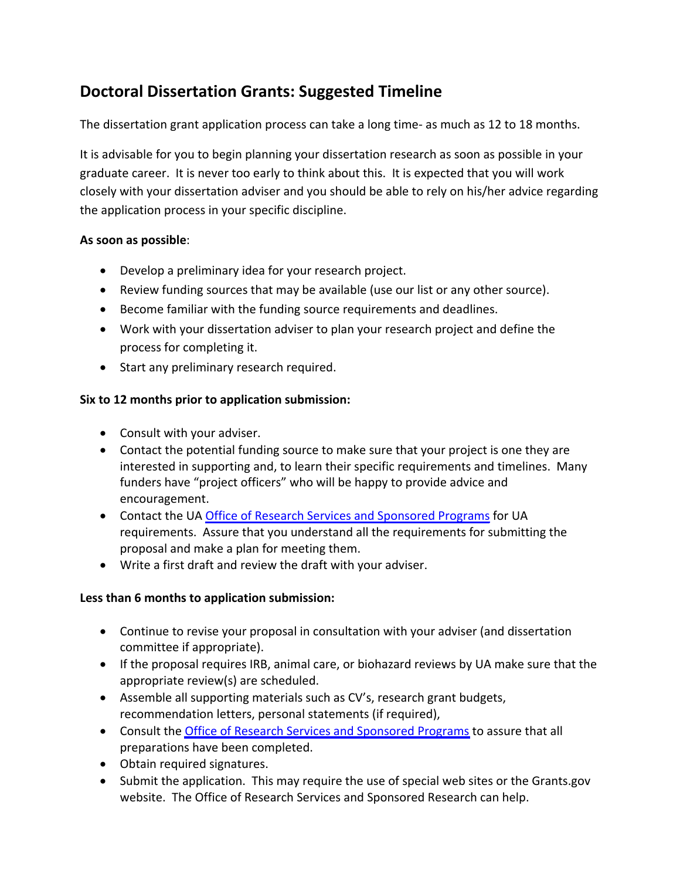# **Doctoral Dissertation Grants: Suggested Timeline**

The dissertation grant application process can take a long time‐ as much as 12 to 18 months.

It is advisable for you to begin planning your dissertation research as soon as possible in your graduate career. It is never too early to think about this. It is expected that you will work closely with your dissertation adviser and you should be able to rely on his/her advice regarding the application process in your specific discipline.

## **As soon as possible**:

- Develop a preliminary idea for your research project.
- Review funding sources that may be available (use our list or any other source).
- Become familiar with the funding source requirements and deadlines.
- Work with your dissertation adviser to plan your research project and define the process for completing it.
- Start any preliminary research required.

## **Six to 12 months prior to application submission:**

- Consult with your adviser.
- Contact the potential funding source to make sure that your project is one they are interested in supporting and, to learn their specific requirements and timelines. Many funders have "project officers" who will be happy to provide advice and encouragement.
- Contact the UA Office of Research Services and [Sponsored](http://www.uakron.edu/research/orssp/index.php) Programs for UA requirements. Assure that you understand all the requirements for submitting the proposal and make a plan for meeting them.
- Write a first draft and review the draft with your adviser.

## **Less than 6 months to application submission:**

- Continue to revise your proposal in consultation with your adviser (and dissertation committee if appropriate).
- If the proposal requires IRB, animal care, or biohazard reviews by UA make sure that the appropriate review(s) are scheduled.
- Assemble all supporting materials such as CV's, research grant budgets, recommendation letters, personal statements (if required),
- Consult the **Office of Research Services and [Sponsored](http://www.uakron.edu/research/orssp/index.php) Programs** to assure that all preparations have been completed.
- Obtain required signatures.
- Submit the application. This may require the use of special web sites or the Grants.gov website. The Office of Research Services and Sponsored Research can help.